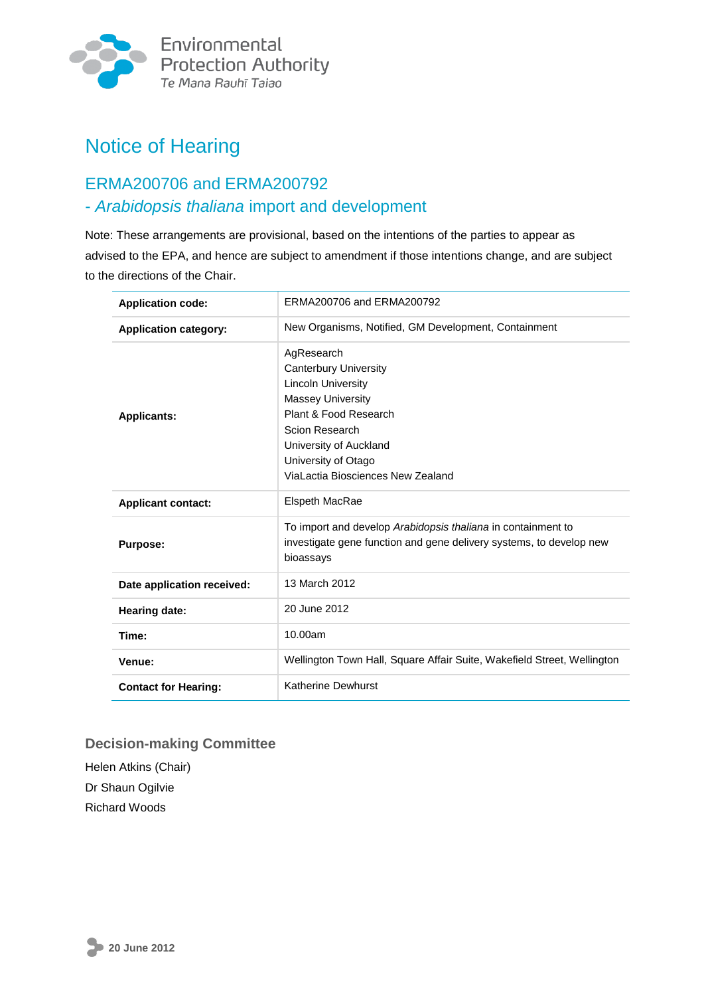

# Notice of Hearing

## ERMA200706 and ERMA200792 - *Arabidopsis thaliana* import and development

Note: These arrangements are provisional, based on the intentions of the parties to appear as advised to the EPA, and hence are subject to amendment if those intentions change, and are subject to the directions of the Chair.

| <b>Application code:</b>     | ERMA200706 and ERMA200792                                                                                                                                                                                                            |  |
|------------------------------|--------------------------------------------------------------------------------------------------------------------------------------------------------------------------------------------------------------------------------------|--|
| <b>Application category:</b> | New Organisms, Notified, GM Development, Containment                                                                                                                                                                                 |  |
| <b>Applicants:</b>           | AgResearch<br><b>Canterbury University</b><br><b>Lincoln University</b><br><b>Massey University</b><br>Plant & Food Research<br>Scion Research<br>University of Auckland<br>University of Otago<br>ViaLactia Biosciences New Zealand |  |
| <b>Applicant contact:</b>    | <b>Elspeth MacRae</b>                                                                                                                                                                                                                |  |
| <b>Purpose:</b>              | To import and develop Arabidopsis thaliana in containment to<br>investigate gene function and gene delivery systems, to develop new<br>bioassays                                                                                     |  |
| Date application received:   | 13 March 2012                                                                                                                                                                                                                        |  |
| <b>Hearing date:</b>         | 20 June 2012                                                                                                                                                                                                                         |  |
| Time:                        | 10.00am                                                                                                                                                                                                                              |  |
| Venue:                       | Wellington Town Hall, Square Affair Suite, Wakefield Street, Wellington                                                                                                                                                              |  |
| <b>Contact for Hearing:</b>  | <b>Katherine Dewhurst</b>                                                                                                                                                                                                            |  |

#### **Decision-making Committee**

Helen Atkins (Chair) Dr Shaun Ogilvie Richard Woods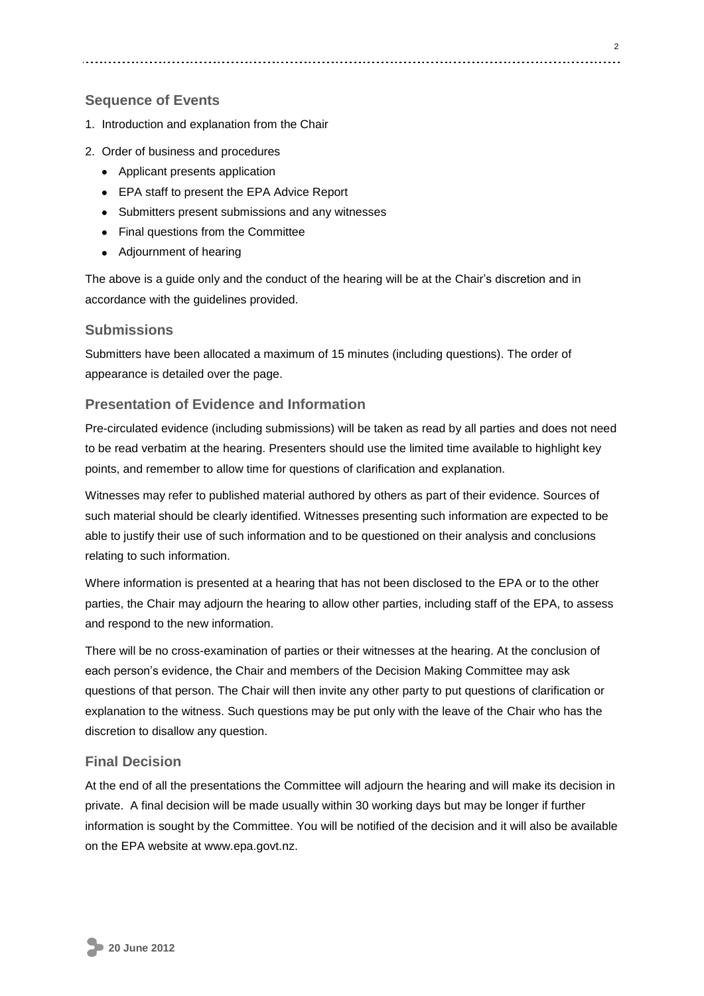#### **Sequence of Events**

- 1. Introduction and explanation from the Chair
- 2. Order of business and procedures
	- Applicant presents application
	- EPA staff to present the EPA Advice Report
	- Submitters present submissions and any witnesses
	- Final questions from the Committee
	- Adjournment of hearing

The above is a guide only and the conduct of the hearing will be at the Chair's discretion and in accordance with the guidelines provided.

#### **Submissions**

Submitters have been allocated a maximum of 15 minutes (including questions). The order of appearance is detailed over the page.

#### **Presentation of Evidence and Information**

Pre-circulated evidence (including submissions) will be taken as read by all parties and does not need to be read verbatim at the hearing. Presenters should use the limited time available to highlight key points, and remember to allow time for questions of clarification and explanation.

Witnesses may refer to published material authored by others as part of their evidence. Sources of such material should be clearly identified. Witnesses presenting such information are expected to be able to justify their use of such information and to be questioned on their analysis and conclusions relating to such information.

Where information is presented at a hearing that has not been disclosed to the EPA or to the other parties, the Chair may adjourn the hearing to allow other parties, including staff of the EPA, to assess and respond to the new information.

There will be no cross-examination of parties or their witnesses at the hearing. At the conclusion of each person's evidence, the Chair and members of the Decision Making Committee may ask questions of that person. The Chair will then invite any other party to put questions of clarification or explanation to the witness. Such questions may be put only with the leave of the Chair who has the discretion to disallow any question.

#### **Final Decision**

At the end of all the presentations the Committee will adjourn the hearing and will make its decision in private. A final decision will be made usually within 30 working days but may be longer if further information is sought by the Committee. You will be notified of the decision and it will also be available on the EPA website at www.epa.govt.nz.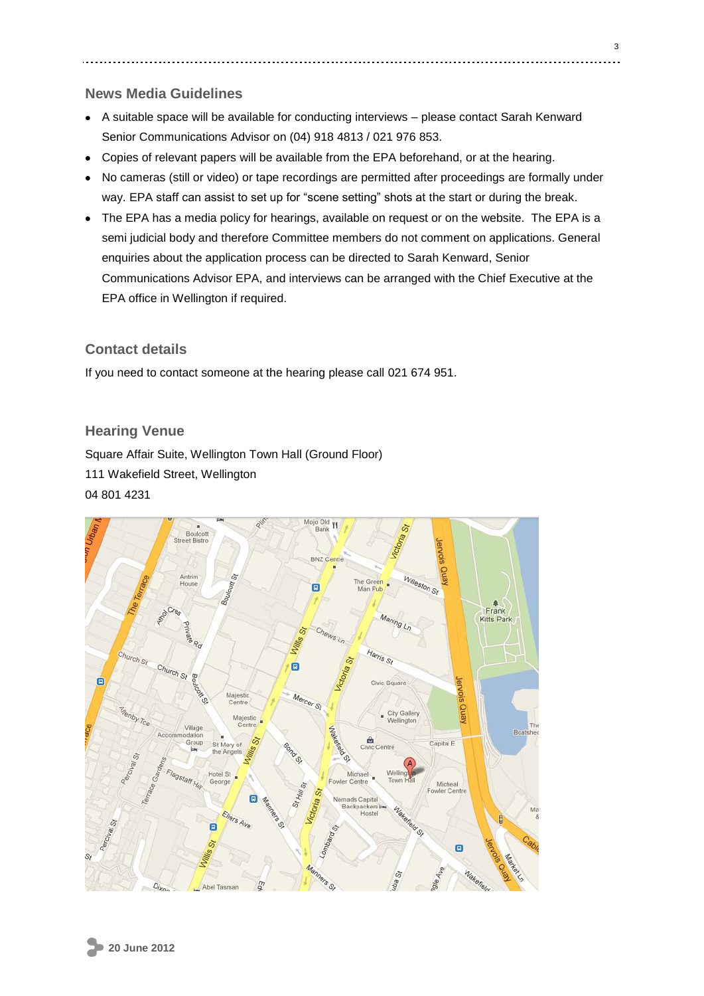#### **News Media Guidelines**

- A suitable space will be available for conducting interviews please contact Sarah Kenward Senior Communications Advisor on (04) 918 4813 / 021 976 853.
- Copies of relevant papers will be available from the EPA beforehand, or at the hearing.
- No cameras (still or video) or tape recordings are permitted after proceedings are formally under way. EPA staff can assist to set up for "scene setting" shots at the start or during the break.
- The EPA has a media policy for hearings, available on request or on the website. The EPA is a semi judicial body and therefore Committee members do not comment on applications. General enquiries about the application process can be directed to Sarah Kenward, Senior Communications Advisor EPA, and interviews can be arranged with the Chief Executive at the EPA office in Wellington if required.

#### **Contact details**

If you need to contact someone at the hearing please call 021 674 951.

#### **Hearing Venue**

Square Affair Suite, Wellington Town Hall (Ground Floor) 111 Wakefield Street, Wellington 04 801 4231

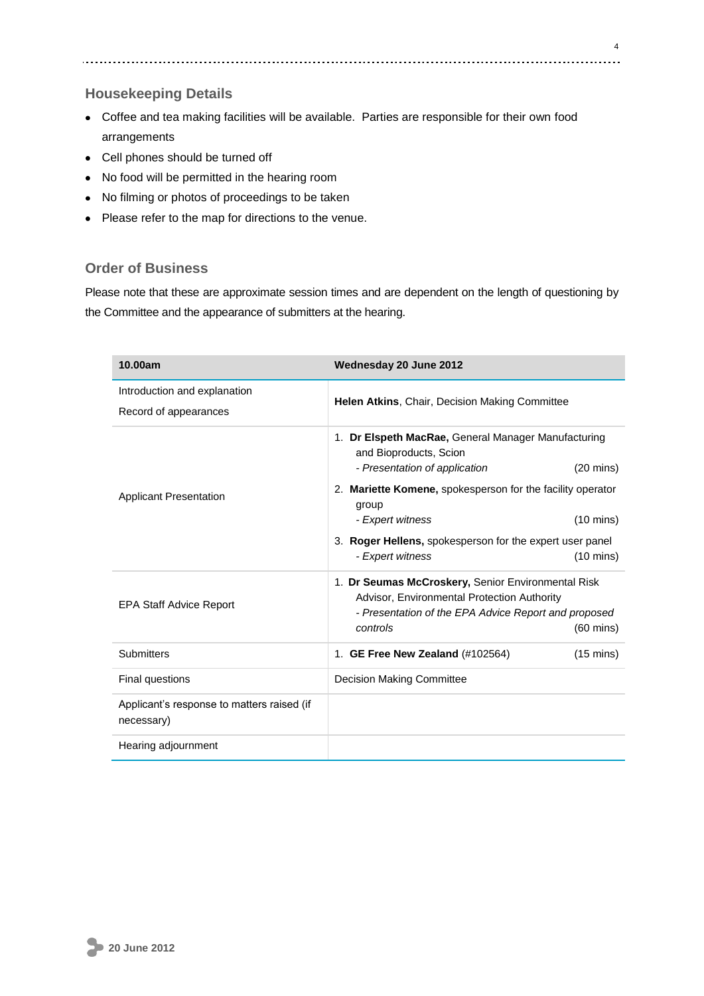#### **Housekeeping Details**

- Coffee and tea making facilities will be available. Parties are responsible for their own food arrangements
- Cell phones should be turned off
- No food will be permitted in the hearing room
- No filming or photos of proceedings to be taken
- Please refer to the map for directions to the venue.

#### **Order of Business**

Please note that these are approximate session times and are dependent on the length of questioning by the Committee and the appearance of submitters at the hearing.

| 10.00am                                                  | Wednesday 20 June 2012                                                                                                                                                                       |  |
|----------------------------------------------------------|----------------------------------------------------------------------------------------------------------------------------------------------------------------------------------------------|--|
| Introduction and explanation                             | Helen Atkins, Chair, Decision Making Committee                                                                                                                                               |  |
| Record of appearances                                    |                                                                                                                                                                                              |  |
|                                                          | 1. Dr Elspeth MacRae, General Manager Manufacturing<br>and Bioproducts, Scion                                                                                                                |  |
|                                                          | - Presentation of application<br>$(20 \text{ mins})$                                                                                                                                         |  |
| <b>Applicant Presentation</b>                            | 2. Mariette Komene, spokesperson for the facility operator<br>group                                                                                                                          |  |
|                                                          | - Expert witness<br>$(10 \text{ mins})$                                                                                                                                                      |  |
|                                                          | 3. Roger Hellens, spokesperson for the expert user panel                                                                                                                                     |  |
|                                                          | - Expert witness<br>$(10 \text{ mins})$                                                                                                                                                      |  |
| <b>EPA Staff Advice Report</b>                           | 1. Dr Seumas McCroskery, Senior Environmental Risk<br>Advisor, Environmental Protection Authority<br>- Presentation of the EPA Advice Report and proposed<br>controls<br>$(60 \text{ mins})$ |  |
| <b>Submitters</b>                                        | 1. GE Free New Zealand (#102564)<br>$(15 \text{ mins})$                                                                                                                                      |  |
| Final questions                                          | <b>Decision Making Committee</b>                                                                                                                                                             |  |
| Applicant's response to matters raised (if<br>necessary) |                                                                                                                                                                                              |  |
| Hearing adjournment                                      |                                                                                                                                                                                              |  |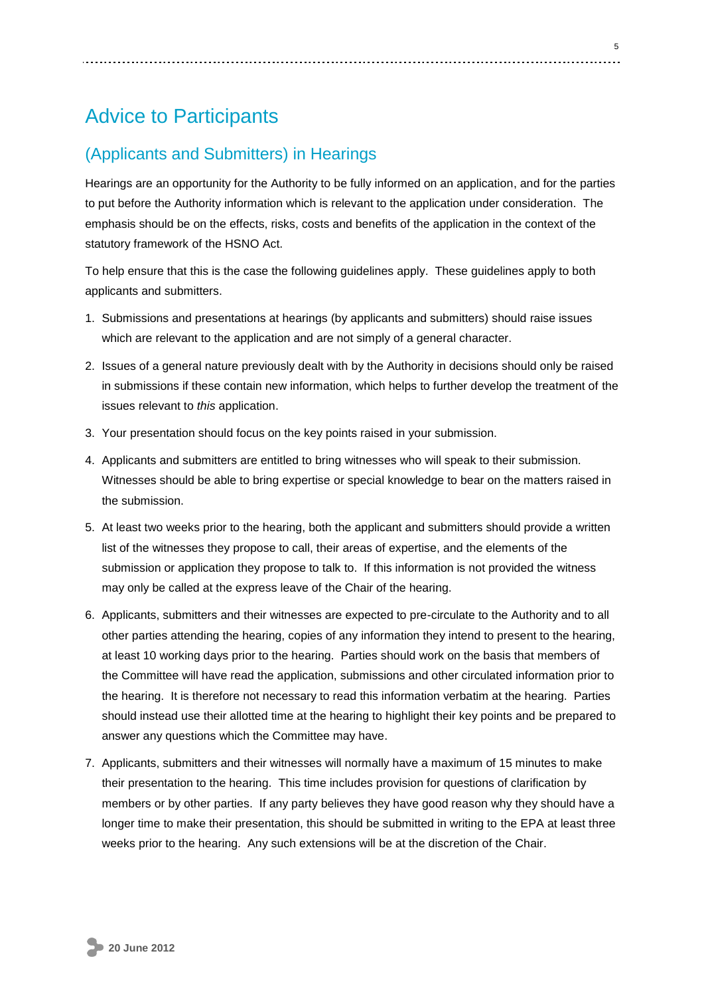## Advice to Participants

### (Applicants and Submitters) in Hearings

Hearings are an opportunity for the Authority to be fully informed on an application, and for the parties to put before the Authority information which is relevant to the application under consideration. The emphasis should be on the effects, risks, costs and benefits of the application in the context of the statutory framework of the HSNO Act.

To help ensure that this is the case the following guidelines apply. These guidelines apply to both applicants and submitters.

- 1. Submissions and presentations at hearings (by applicants and submitters) should raise issues which are relevant to the application and are not simply of a general character.
- 2. Issues of a general nature previously dealt with by the Authority in decisions should only be raised in submissions if these contain new information, which helps to further develop the treatment of the issues relevant to *this* application.
- 3. Your presentation should focus on the key points raised in your submission.
- 4. Applicants and submitters are entitled to bring witnesses who will speak to their submission. Witnesses should be able to bring expertise or special knowledge to bear on the matters raised in the submission.
- 5. At least two weeks prior to the hearing, both the applicant and submitters should provide a written list of the witnesses they propose to call, their areas of expertise, and the elements of the submission or application they propose to talk to. If this information is not provided the witness may only be called at the express leave of the Chair of the hearing.
- 6. Applicants, submitters and their witnesses are expected to pre-circulate to the Authority and to all other parties attending the hearing, copies of any information they intend to present to the hearing, at least 10 working days prior to the hearing. Parties should work on the basis that members of the Committee will have read the application, submissions and other circulated information prior to the hearing. It is therefore not necessary to read this information verbatim at the hearing. Parties should instead use their allotted time at the hearing to highlight their key points and be prepared to answer any questions which the Committee may have.
- 7. Applicants, submitters and their witnesses will normally have a maximum of 15 minutes to make their presentation to the hearing. This time includes provision for questions of clarification by members or by other parties. If any party believes they have good reason why they should have a longer time to make their presentation, this should be submitted in writing to the EPA at least three weeks prior to the hearing. Any such extensions will be at the discretion of the Chair.